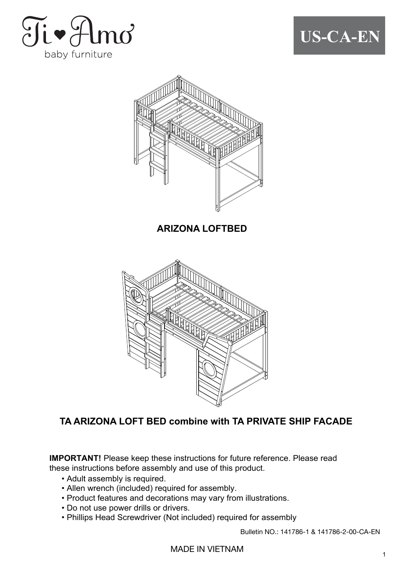





**ARIZONA LOFTBED**



#### **TA ARIZONA LOFT BED combine with TA PRIVATE SHIP FACADE**

**IMPORTANT!** Please keep these instructions for future reference. Please read these instructions before assembly and use of this product.

- Adult assembly is required.
- Allen wrench (included) required for assembly.
- Product features and decorations may vary from illustrations.
- Do not use power drills or drivers.
- Phillips Head Screwdriver (Not included) required for assembly

Bulletin NO.: 141786-1 & 141786-2-00-CA-EN

MADE IN VIETNAM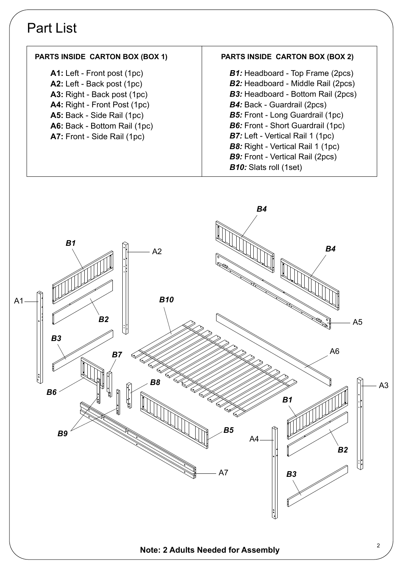#### Part List



#### <sup>2</sup> **Note: 2 Adults Needed for Assembly**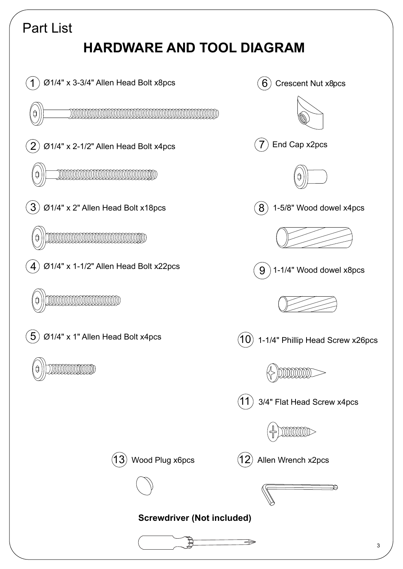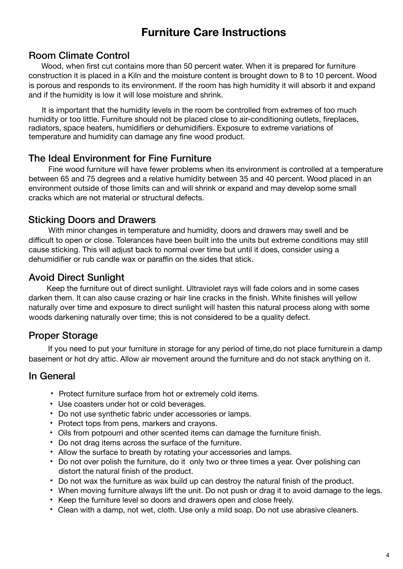#### **Furniture Care Instructions**

#### Room Climate Control

 Wood, when first cut contains more than 50 percent water. When it is prepared for furniture construction it is placed in a Kiln and the moisture content is brought down to 8 to 10 percent. Wood is porous and responds to its environment. If the room has high humidity it will absorb it and expand and if the humidity is low it will lose moisture and shrink.

 It is important that the humidity levels in the room be controlled from extremes of too much humidity or too little. Furniture should not be placed close to air-conditioning outlets, fireplaces, radiators, space heaters, humidifiers or dehumidifiers. Exposure to extreme variations of temperature and humidity can damage any fine wood product.

#### The Ideal Environment for Fine Furniture

 Fine wood furniture will have fewer problems when its environment is controlled at a temperature between 65 and 75 degrees and a relative humidity between 35 and 40 percent. Wood placed in an environment outside of those limits can and will shrink or expand and may develop some small cracks which are not material or structural defects.

#### Sticking Doors and Drawers

 With minor changes in temperature and humidity, doors and drawers may swell and be difficult to open or close. Tolerances have been built into the units but extreme conditions may still cause sticking. This will adjust back to normal over time but until it does, consider using a dehumidifier or rub candle wax or paraffin on the sides that stick.

#### Avoid Direct Sunlight

 Keep the furniture out of direct sunlight. Ultraviolet rays will fade colors and in some cases darken them. It can also cause crazing or hair line cracks in the finish. White finishes will yellow naturally over time and exposure to direct sunlight will hasten this natural process along with some woods darkening naturally over time; this is not considered to be a quality defect.

#### Proper Storage

 If you need to put your furniture in storage for any period of time, do not place furniturein a damp basement or hot dry attic. Allow air movement around the furniture and do not stack anything on it.

#### In General

- Protect furniture surface from hot or extremely cold items.
- Use coasters under hot or cold beverages.
- Do not use synthetic fabric under accessories or lamps.
- Protect tops from pens, markers and crayons.
- Oils from potpourri and other scented items can damage the furniture finish.
- Do not drag items across the surface of the furniture.
- Allow the surface to breath by rotating your accessories and lamps.
- Do not over polish the furniture, do it only two or three times a year. Over polishing can distort the natural finish of the product.
- Do not wax the furniture as wax build up can destroy the natural finish of the product.
- When moving furniture always lift the unit. Do not push or drag it to avoid damage to the legs.
- Keep the furniture level so doors and drawers open and close freely.
- Clean with a damp, not wet, cloth. Use only a mild soap. Do not use abrasive cleaners.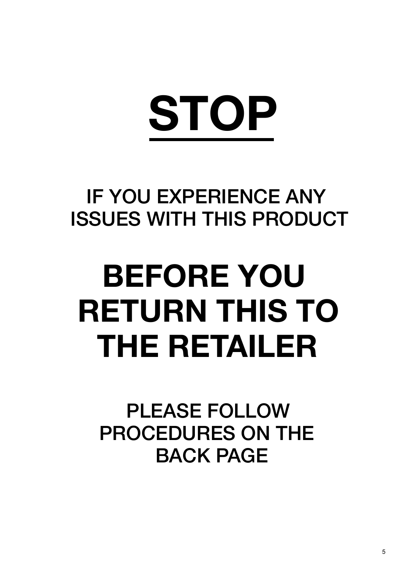# **STOP**

### IF YOU EXPERIENCE ANY ISSUES WITH THIS PRODUCT

## **BEFORE YOU RETURN THIS TO THE RETAILER**

PLEASE FOLLOW PROCEDURES ON THE BACK PAGE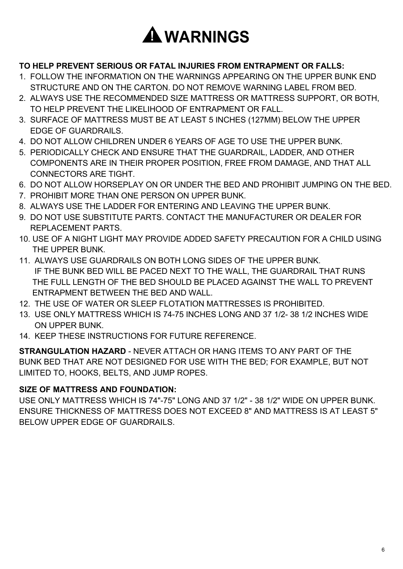

#### **TO HELP PREVENT SERIOUS OR FATAL INJURIES FROM ENTRAPMENT OR FALLS:**

- 1. FOLLOW THE INFORMATION ON THE WARNINGS APPEARING ON THE UPPER BUNK END STRUCTURE AND ON THE CARTON. DO NOT REMOVE WARNING LABEL FROM BED.
- 2. ALWAYS USE THE RECOMMENDED SIZE MATTRESS OR MATTRESS SUPPORT, OR BOTH, TO HELP PREVENT THE LIKELIHOOD OF ENTRAPMENT OR FALL.
- 3. SURFACE OF MATTRESS MUST BE AT LEAST 5 INCHES (127MM) BELOW THE UPPER EDGE OF GUARDRAILS.
- 4. DO NOT ALLOW CHILDREN UNDER 6 YEARS OF AGE TO USE THE UPPER BUNK.
- 5. PERIODICALLY CHECK AND ENSURE THAT THE GUARDRAIL, LADDER, AND OTHER COMPONENTS ARE IN THEIR PROPER POSITION, FREE FROM DAMAGE, AND THAT ALL CONNECTORS ARE TIGHT.
- 6. DO NOT ALLOW HORSEPLAY ON OR UNDER THE BED AND PROHIBIT JUMPING ON THE BED.
- 7. PROHIBIT MORE THAN ONE PERSON ON UPPER BUNK.
- 8. ALWAYS USE THE LADDER FOR ENTERING AND LEAVING THE UPPER BUNK.
- 9. DO NOT USE SUBSTITUTE PARTS. CONTACT THE MANUFACTURER OR DEALER FOR REPLACEMENT PARTS.
- 10. USE OF A NIGHT LIGHT MAY PROVIDE ADDED SAFETY PRECAUTION FOR A CHILD USING THE UPPER BUNK.
- 11. ALWAYS USE GUARDRAILS ON BOTH LONG SIDES OF THE UPPER BUNK. IF THE BUNK BED WILL BE PACED NEXT TO THE WALL, THE GUARDRAIL THAT RUNS THE FULL LENGTH OF THE BED SHOULD BE PLACED AGAINST THE WALL TO PREVENT ENTRAPMENT BETWEEN THE BED AND WALL.
- 12. THE USE OF WATER OR SLEEP FLOTATION MATTRESSES IS PROHIBITED.
- 13. USE ONLY MATTRESS WHICH IS 74-75 INCHES LONG AND 37 1/2- 38 1/2 INCHES WIDE ON UPPER BUNK.
- 14. KEEP THESE INSTRUCTIONS FOR FUTURE REFERENCE.

**STRANGULATION HAZARD** - NEVER ATTACH OR HANG ITEMS TO ANY PART OF THE BUNK BED THAT ARE NOT DESIGNED FOR USE WITH THE BED; FOR EXAMPLE, BUT NOT LIMITED TO, HOOKS, BELTS, AND JUMP ROPES.

#### **SIZE OF MATTRESS AND FOUNDATION:**

USE ONLY MATTRESS WHICH IS 74"-75" LONG AND 37 1/2" - 38 1/2" WIDE ON UPPER BUNK. ENSURE THICKNESS OF MATTRESS DOES NOT EXCEED 8" AND MATTRESS IS AT LEAST 5" BELOW UPPER EDGE OF GUARDRAILS.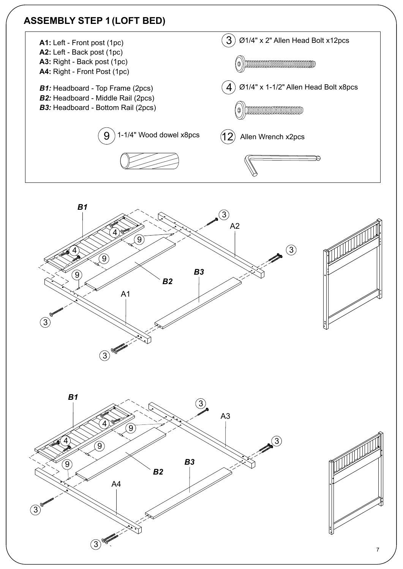#### **ASSEMBLY STEP 1 (LOFT BED)**









7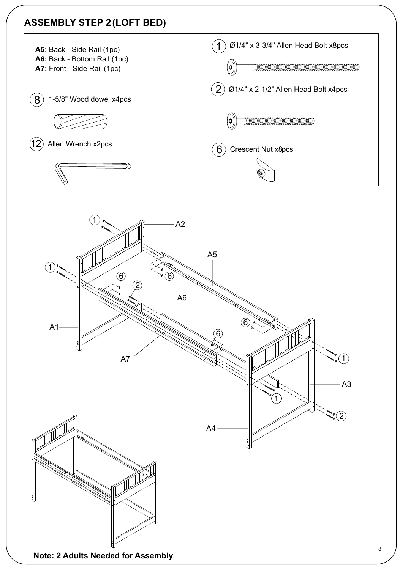#### **ASSEMBLY STEP 2 (LOFT BED)**



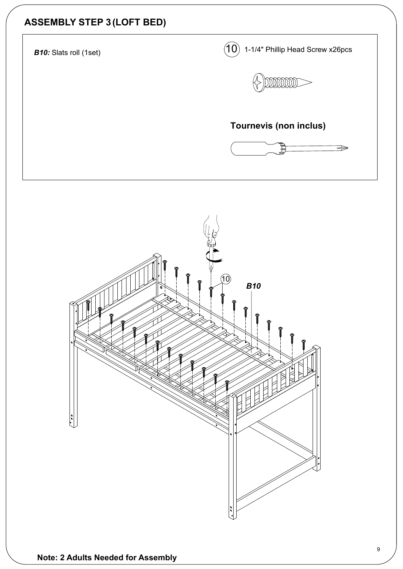#### **ASSEMBLY STEP 3 (LOFT BED)**

*B10:* Slats roll (1set)  $(10)$  1-1/4" Phillip Head Screw x26pcs



#### **Tournevis (non inclus)**



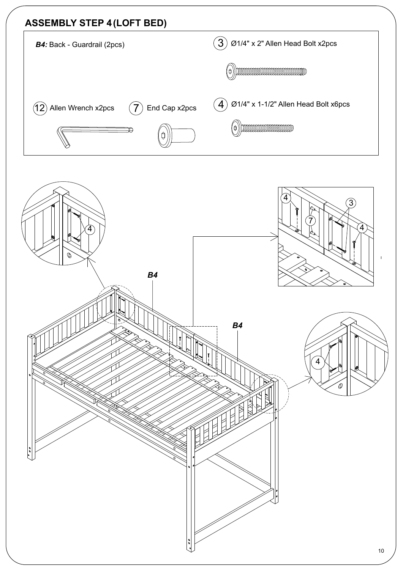#### **ASSEMBLY STEP 4 (LOFT BED)**  $\left( \overline{3}\right)$  Ø1/4" x 2" Allen Head Bolt x2pcs *B4:* Back - Guardrail (2pcs)  $(\circ)$  ) dimensional dimensional dimensional  $(\circ)$  $\left( \boldsymbol{4}\right)$  Ø1/4" x 1-1/2" Allen Head Bolt x6pcs  $(7)$  End Cap x2pcs  $\left( 12\right)$  Allen Wrench x2pcs  $\left( 0\right)$  municipal measurement

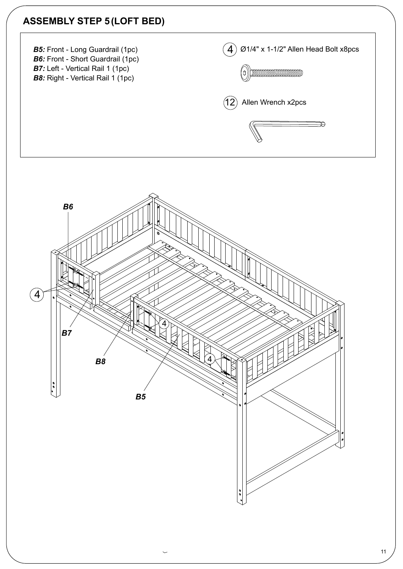#### **ASSEMBLY STEP 5 (LOFT BED)**





11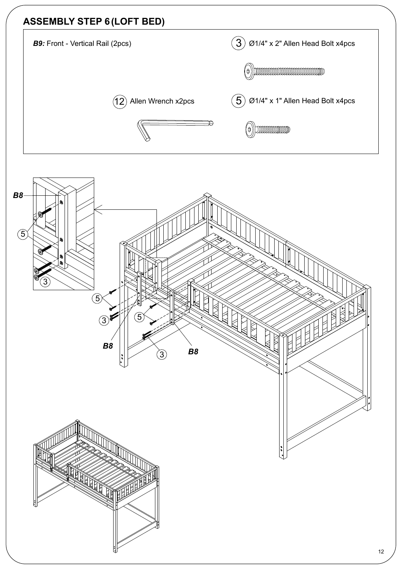#### **ASSEMBLY STEP 6 (LOFT BED)**



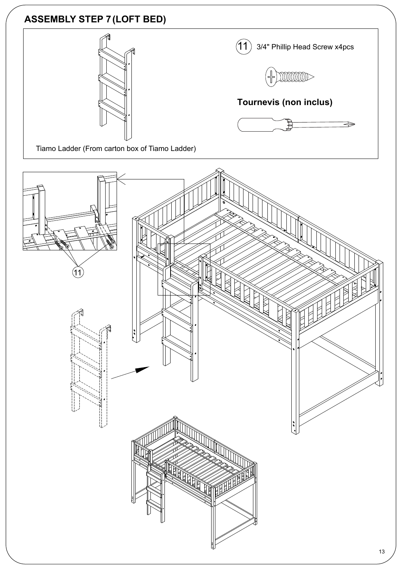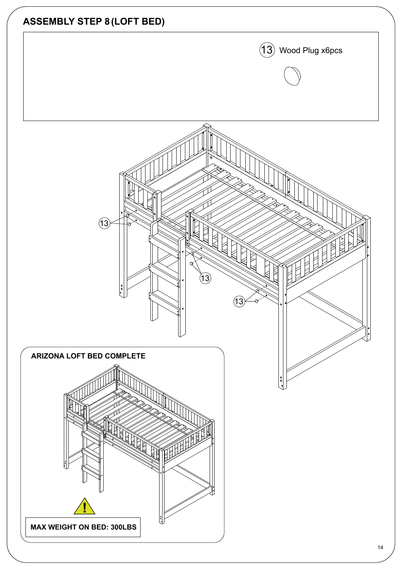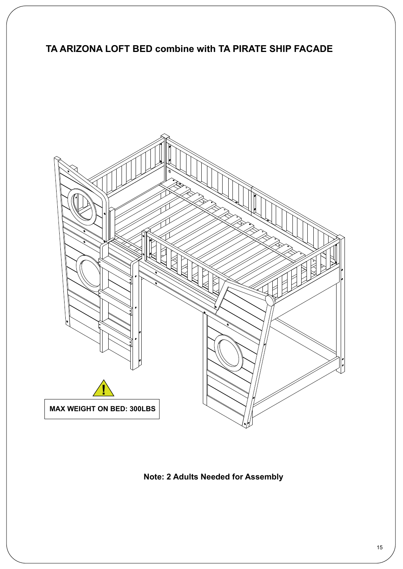#### **TA ARIZONA LOFT BED combine with TA PIRATE SHIP FACADE**



**Note: 2 Adults Needed for Assembly**